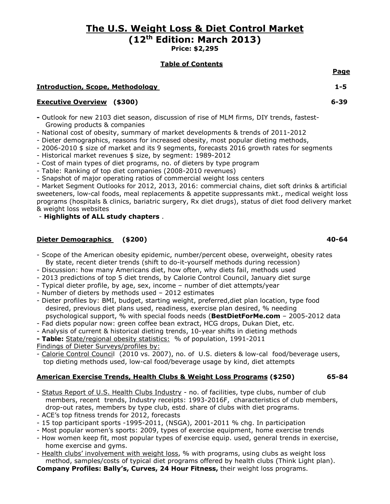# The U.S. Weight Loss & Diet Control Market (12th Edition: March 2013)

Price: \$2,295

## Table of Contents

## **Introduction, Scope, Methodology 1-5**

## Executive Overview (\$300) 6-39

- Outlook for new 2103 diet season, discussion of rise of MLM firms, DIY trends, fastest- Growing products & companies
- National cost of obesity, summary of market developments & trends of 2011-2012
- Dieter demographics, reasons for increased obesity, most popular dieting methods,
- 2006-2010 \$ size of market and its 9 segments, forecasts 2016 growth rates for segments
- Historical market revenues \$ size, by segment: 1989-2012
- Cost of main types of diet programs, no. of dieters by type program
- Table: Ranking of top diet companies (2008-2010 revenues)
- Snapshot of major operating ratios of commercial weight loss centers

- Market Segment Outlooks for 2012, 2013, 2016: commercial chains, diet soft drinks & artificial sweeteners, low-cal foods, meal replacements & appetite suppressants mkt., medical weight loss programs (hospitals & clinics, bariatric surgery, Rx diet drugs), status of diet food delivery market & weight loss websites

- Highlights of ALL study chapters .

## Dieter Demographics (\$200) 40-64

- Scope of the American obesity epidemic, number/percent obese, overweight, obesity rates By state, recent dieter trends (shift to do-it-yourself methods during recession)
- Discussion: how many Americans diet, how often, why diets fail, methods used
- 2013 predictions of top 5 diet trends, by Calorie Control Council, January diet surge
- Typical dieter profile, by age, sex, income number of diet attempts/year
- Number of dieters by methods used 2012 estimates
- Dieter profiles by: BMI, budget, starting weight, preferred,diet plan location, type food desired, previous diet plans used, readiness, exercise plan desired, % needing psychological support, % with special foods needs (BestDietForMe.com – 2005-2012 data
- Fad diets popular now: green coffee bean extract, HCG drops, Dukan Diet, etc.
- Analysis of current & historical dieting trends, 10-year shifts in dieting methods
- Table: State/regional obesity statistics: % of population, 1991-2011
- Findings of Dieter Surveys/profiles by:
- Calorie Control Council (2010 vs. 2007), no. of U.S. dieters & low-cal food/beverage users, top dieting methods used, low-cal food/beverage usage by kind, diet attempts

## American Exercise Trends, Health Clubs & Weight Loss Programs (\$250) 65-84

- Status Report of U.S. Health Clubs Industry no. of facilities, type clubs, number of club members, recent trends, Industry receipts: 1993-2016F, characteristics of club members, drop-out rates, members by type club, estd. share of clubs with diet programs.
- ACE's top fitness trends for 2012, forecasts
- 15 top participant sports -1995-2011, (NSGA), 2001-2011 % chg. In participation
- Most popular women's sports: 2009, types of exercise equipment, home exercise trends
- How women keep fit, most popular types of exercise equip. used, general trends in exercise, home exercise and gyms.
- Health clubs' involvement with weight loss, % with programs, using clubs as weight loss method, samples/costs of typical diet programs offered by health clubs (Think Light plan).

Company Profiles: Bally's, Curves, 24 Hour Fitness, their weight loss programs.

<u>Page in the contract of the contract of the contract of the contract of the contract of the contract of the con</u>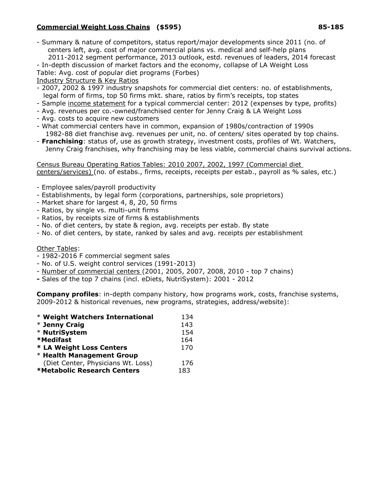## Commercial Weight Loss Chains (\$595) 85-185

- Summary & nature of competitors, status report/major developments since 2011 (no. of centers left, avg. cost of major commercial plans vs. medical and self-help plans 2011-2012 segment performance, 2013 outlook, estd. revenues of leaders, 2014 forecast

- In-depth discussion of market factors and the economy, collapse of LA Weight Loss

Table: Avg. cost of popular diet programs (Forbes)

Industry Structure & Key Ratios

- 2007, 2002 & 1997 industry snapshots for commercial diet centers: no. of establishments, legal form of firms, top 50 firms mkt. share, ratios by firm's receipts, top states
- Sample income statement for a typical commercial center: 2012 (expenses by type, profits)
- Avg. revenues per co.-owned/franchised center for Jenny Craig & LA Weight Loss
- Avg. costs to acquire new customers
- What commercial centers have in common, expansion of 1980s/contraction of 1990s 1982-88 diet franchise avg. revenues per unit, no. of centers/ sites operated by top chains.
- Franchising: status of, use as growth strategy, investment costs, profiles of Wt. Watchers, Jenny Craig franchises, why franchising may be less viable, commercial chains survival actions.

Census Bureau Operating Ratios Tables: 2010 2007, 2002, 1997 (Commercial diet centers/services) (no. of estabs., firms, receipts, receipts per estab., payroll as % sales, etc.)

- Employee sales/payroll productivity
- Establishments, by legal form (corporations, partnerships, sole proprietors)
- Market share for largest 4, 8, 20, 50 firms
- Ratios, by single vs. multi-unit firms
- Ratios, by receipts size of firms & establishments
- No. of diet centers, by state & region, avg. receipts per estab. By state
- No. of diet centers, by state, ranked by sales and avg. receipts per establishment

## Other Tables:

- 1982-2016 F commercial segment sales
- No. of U.S. weight control services (1991-2013)
- Number of commercial centers (2001, 2005, 2007, 2008, 2010 top 7 chains)
- Sales of the top 7 chains (incl. eDiets, NutriSystem): 2001 2012

**Company profiles:** in-depth company history, how programs work, costs, franchise systems, 2009-2012 & historical revenues, new programs, strategies, address/website):

| * Weight Watchers International    | 134 |
|------------------------------------|-----|
| * Jenny Craig                      | 143 |
| * NutriSystem                      | 154 |
| *Medifast                          | 164 |
| * LA Weight Loss Centers           | 170 |
| * Health Management Group          |     |
| (Diet Center, Physicians Wt. Loss) | 176 |
| *Metabolic Research Centers        | 183 |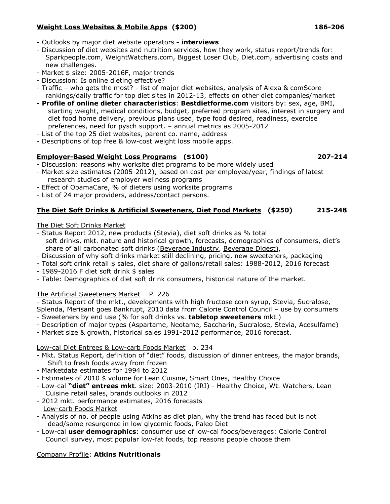## Weight Loss Websites & Mobile Apps (\$200) 186-206

- Outlooks by major diet website operators interviews
- Discussion of diet websites and nutrition services, how they work, status report/trends for: Sparkpeople.com, WeightWatchers.com, Biggest Loser Club, Diet.com, advertising costs and new challenges.
- Market \$ size: 2005-2016F, major trends
- Discussion: Is online dieting effective?
- Traffic who gets the most? list of major diet websites, analysis of Alexa & comScore rankings/daily traffic for top diet sites in 2012-13, effects on other diet companies/market
- Profile of online dieter characteristics: Bestdietforme.com visitors by: sex, age, BMI, starting weight, medical conditions, budget, preferred program sites, interest in surgery and diet food home delivery, previous plans used, type food desired, readiness, exercise preferences, need for pysch support. – annual metrics as 2005-2012
- List of the top 25 diet websites, parent co. name, address
- Descriptions of top free & low-cost weight loss mobile apps.

## Employer-Based Weight Loss Programs (\$100) 207-214

- Discussion: reasons why worksite diet programs to be more widely used
- Market size estimates (2005-2012), based on cost per employee/year, findings of latest research studies of employer wellness programs
- Effect of ObamaCare, % of dieters using worksite programs
- List of 24 major providers, address/contact persons.

## The Diet Soft Drinks & Artificial Sweeteners, Diet Food Markets (\$250) 215-248

The Diet Soft Drinks Market

- Status Report 2012, new products (Stevia), diet soft drinks as % total soft drinks, mkt. nature and historical growth, forecasts, demographics of consumers, diet's share of all carbonated soft drinks (Beverage Industry, Beverage Digest),
- Discussion of why soft drinks market still declining, pricing, new sweeteners, packaging
- Total soft drink retail \$ sales, diet share of gallons/retail sales: 1988-2012, 2016 forecast
- 1989-2016 F diet soft drink \$ sales
- Table: Demographics of diet soft drink consumers, historical nature of the market.

## The Artificial Sweeteners Market P. 226

- Status Report of the mkt., developments with high fructose corn syrup, Stevia, Sucralose,

Splenda, Merisant goes Bankrupt, 2010 data from Calorie Control Council – use by consumers - Sweeteners by end use (% for soft drinks vs. tabletop sweeteners mkt.)

- Description of major types (Aspartame, Neotame, Saccharin, Sucralose, Stevia, Acesulfame)
- Market size & growth, historical sales 1991-2012 performance, 2016 forecast.

Low-cal Diet Entrees & Low-carb Foods Market p. 234

- Mkt. Status Report, definition of "diet" foods, discussion of dinner entrees, the major brands, Shift to fresh foods away from frozen
- Marketdata estimates for 1994 to 2012
- Estimates of 2010 \$ volume for Lean Cuisine, Smart Ones, Healthy Choice
- Low-cal "diet" entrees mkt. size: 2003-2010 (IRI) Healthy Choice, Wt. Watchers, Lean Cuisine retail sales, brands outlooks in 2012
- 2012 mkt. performance estimates, 2016 forecasts Low-carb Foods Market
- Analysis of no. of people using Atkins as diet plan, why the trend has faded but is not dead/some resurgence in low glycemic foods, Paleo Diet
- Low-cal user demographics: consumer use of low-cal foods/beverages: Calorie Control Council survey, most popular low-fat foods, top reasons people choose them

## Company Profile: Atkins Nutritionals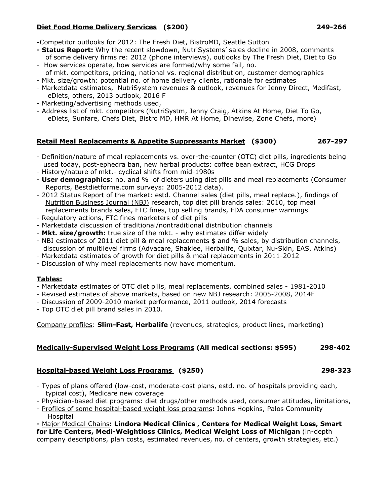## Diet Food Home Delivery Services (\$200) 249-266

-Competitor outlooks for 2012: The Fresh Diet, BistroMD, Seattle Sutton

- Status Report: Why the recent slowdown, NutriSystems' sales decline in 2008, comments of some delivery firms re: 2012 (phone interviews), outlooks by The Fresh Diet, Diet to Go
- How services operate, how services are formed/why some fail, no. of mkt. competitors, pricing, national vs. regional distribution, customer demographics
- Mkt. size/growth: potential no. of home delivery clients, rationale for estimates
- Marketdata estimates, NutriSystem revenues & outlook, revenues for Jenny Direct, Medifast, eDiets, others, 2013 outlook, 2016 F
- Marketing/advertising methods used,
- Address list of mkt. competitors (NutriSystm, Jenny Craig, Atkins At Home, Diet To Go, eDiets, Sunfare, Chefs Diet, Bistro MD, HMR At Home, Dinewise, Zone Chefs, more)

## Retail Meal Replacements & Appetite Suppressants Market (\$300) 267-297

- Definition/nature of meal replacements vs. over-the-counter (OTC) diet pills, ingredients being used today, post-ephedra ban, new herbal products: coffee bean extract, HCG Drops
- History/nature of mkt.- cyclical shifts from mid-1980s
- **User demographics**: no. and % of dieters using diet pills and meal replacements (Consumer Reports, Bestdietforme.com surveys: 2005-2012 data).
- 2012 Status Report of the market: estd. Channel sales (diet pills, meal replace.), findings of Nutrition Business Journal (NBJ) research, top diet pill brands sales: 2010, top meal replacements brands sales, FTC fines, top selling brands, FDA consumer warnings
- Regulatory actions, FTC fines marketers of diet pills
- Marketdata discussion of traditional/nontraditional distribution channels
- Mkt. size/growth: true size of the mkt. why estimates differ widely
- NBJ estimates of 2011 diet pill & meal replacements \$ and % sales, by distribution channels, discussion of multilevel firms (Advacare, Shaklee, Herbalife, Quixtar, Nu-Skin, EAS, Atkins)
- Marketdata estimates of growth for diet pills & meal replacements in 2011-2012
- Discussion of why meal replacements now have momentum.

### Tables:

- Marketdata estimates of OTC diet pills, meal replacements, combined sales 1981-2010
- Revised estimates of above markets, based on new NBJ research: 2005-2008, 2014F
- Discussion of 2009-2010 market performance, 2011 outlook, 2014 forecasts
- Top OTC diet pill brand sales in 2010.

Company profiles: Slim-Fast, Herbalife (revenues, strategies, product lines, marketing)

### Medically-Supervised Weight Loss Programs (All medical sections: \$595) 298-402

### Hospital-based Weight Loss Programs (\$250) 298-323

- Types of plans offered (low-cost, moderate-cost plans, estd. no. of hospitals providing each, typical cost), Medicare new coverage
- Physician-based diet programs: diet drugs/other methods used, consumer attitudes, limitations,
- Profiles of some hospital-based weight loss programs: Johns Hopkins, Palos Community Hospital

- Major Medical Chains: Lindora Medical Clinics , Centers for Medical Weight Loss, Smart for Life Centers, Medi-Weightloss Clinics, Medical Weight Loss of Michigan (in-depth company descriptions, plan costs, estimated revenues, no. of centers, growth strategies, etc.)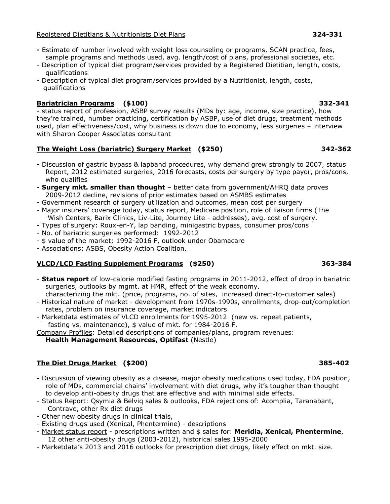### Registered Dietitians & Nutritionists Diet Plans 324-331 324-331

- Estimate of number involved with weight loss counseling or programs, SCAN practice, fees, sample programs and methods used, avg. length/cost of plans, professional societies, etc.
- Description of typical diet program/services provided by a Registered Dietitian, length, costs, qualifications
- Description of typical diet program/services provided by a Nutritionist, length, costs, qualifications

## Bariatrician Programs (\$100) 332-341

- status report of profession, ASBP survey results (MDs by: age, income, size practice), how they're trained, number practicing, certification by ASBP, use of diet drugs, treatment methods used, plan effectiveness/cost, why business is down due to economy, less surgeries – interview with Sharon Cooper Associates consultant

## The Weight Loss (bariatric) Surgery Market (\$250) 342-362

- Discussion of gastric bypass & lapband procedures, why demand grew strongly to 2007, status Report, 2012 estimated surgeries, 2016 forecasts, costs per surgery by type payor, pros/cons, who qualifies
- **Surgery mkt. smaller than thought** better data from government/AHRQ data proves 2009-2012 decline, revisions of prior estimates based on ASMBS estimates
- Government research of surgery utilization and outcomes, mean cost per surgery
- Major insurers' coverage today, status report, Medicare position, role of liaison firms (The Wish Centers, Barix Clinics, Liv-Lite, Journey Lite - addresses), avg. cost of surgery.
- Types of surgery: Roux-en-Y, lap banding, minigastric bypass, consumer pros/cons
- No. of bariatric surgeries performed: 1992-2012
- \$ value of the market: 1992-2016 F, outlook under Obamacare
- Associations: ASBS, Obesity Action Coalition.

## VLCD/LCD Fasting Supplement Programs (\$250) 363-384

- **Status report** of low-calorie modified fasting programs in 2011-2012, effect of drop in bariatric surgeries, outlooks by mgmt. at HMR, effect of the weak economy.
- characterizing the mkt. (price, programs, no. of sites, increased direct-to-customer sales)
- Historical nature of market development from 1970s-1990s, enrollments, drop-out/completion rates, problem on insurance coverage, market indicators
- Marketdata estimates of VLCD enrollments for 1995-2012 (new vs. repeat patients, fasting vs. maintenance), \$ value of mkt. for 1984-2016 F.

Company Profiles: Detailed descriptions of companies/plans, program revenues:

Health Management Resources, Optifast (Nestle)

## The Diet Drugs Market (\$200) 385-402

- Discussion of viewing obesity as a disease, major obesity medications used today, FDA position, role of MDs, commercial chains' involvement with diet drugs, why it's tougher than thought to develop anti-obesity drugs that are effective and with minimal side effects.
- Status Report: Qsymia & Belviq sales & outlooks, FDA rejections of: Acomplia, Taranabant, Contrave, other Rx diet drugs
- Other new obesity drugs in clinical trials,
- Existing drugs used (Xenical, Phentermine) descriptions
- Market status report prescriptions written and \$ sales for: Meridia, Xenical, Phentermine, 12 other anti-obesity drugs (2003-2012), historical sales 1995-2000
- Marketdata's 2013 and 2016 outlooks for prescription diet drugs, likely effect on mkt. size.